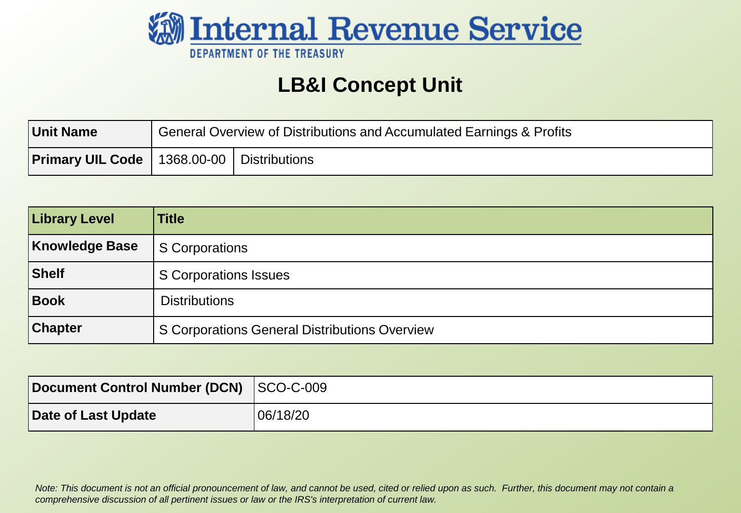

#### **LB&I Concept Unit**

| <b>Unit Name</b>                                     | General Overview of Distributions and Accumulated Earnings & Profits |  |  |
|------------------------------------------------------|----------------------------------------------------------------------|--|--|
| <b>Primary UIL Code</b>   1368.00-00   Distributions |                                                                      |  |  |

| <b>Library Level</b> | <b>Title</b>                                  |
|----------------------|-----------------------------------------------|
| Knowledge Base       | S Corporations                                |
| Shelf                | S Corporations Issues                         |
| Book                 | <b>Distributions</b>                          |
| <b>Chapter</b>       | S Corporations General Distributions Overview |

| Document Control Number (DCN) SCO-C-009 |          |
|-----------------------------------------|----------|
| Date of Last Update                     | 06/18/20 |

 *Note: This document is not an official pronouncement of law, and cannot be used, cited or relied upon as such. Further, this document may not contain a comprehensive discussion of all pertinent issues or law or the IRS's interpretation of current law.*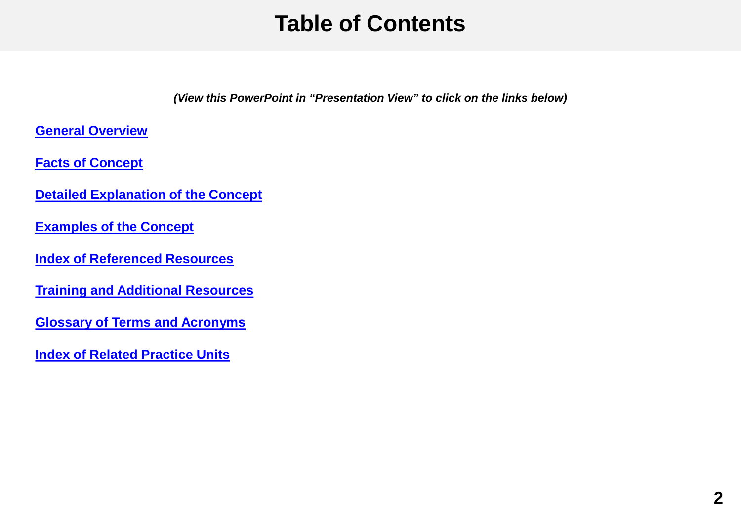#### **Table of Contents**

*(View this PowerPoint in "Presentation View" to click on the links below)* 

<span id="page-1-0"></span>**[General Overview](#page-2-0)** 

 **[Facts of Concept](#page-4-0)** 

 **[Detailed Explanation of the Concept](#page-5-0)** 

 **[Examples of the Concept](#page-20-0)** 

 **[Index of Referenced Resources](#page-23-0)** 

**[Training and Additional Resources](#page-25-0)** 

 **[Glossary of Terms and Acronyms](#page-26-0)** 

 **[Index of Related Practice Units](#page-27-0)**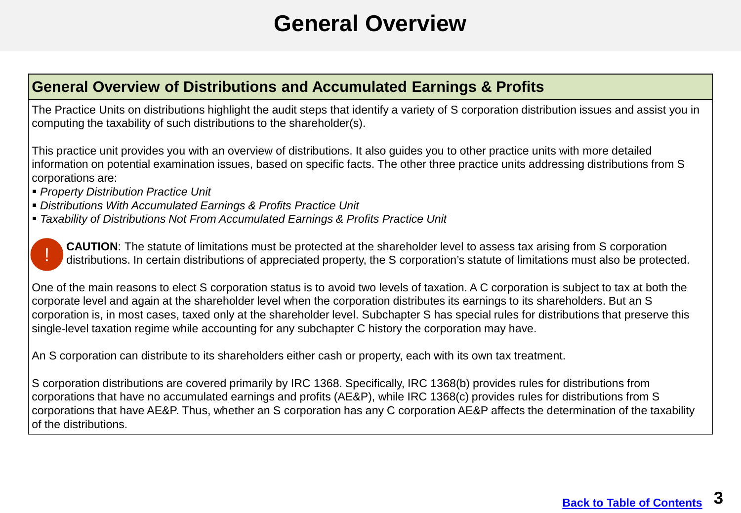#### **General Overview**

#### <span id="page-2-0"></span>**General Overview of Distributions and Accumulated Earnings & Profits**

The Practice Units on distributions highlight the audit steps that identify a variety of S corporation distribution issues and assist you in computing the taxability of such distributions to the shareholder(s).

 information on potential examination issues, based on specific facts. The other three practice units addressing distributions from S This practice unit provides you with an overview of distributions. It also guides you to other practice units with more detailed corporations are:

- *Property Distribution Practice Unit*
- *Distributions With Accumulated Earnings & Profits Practice Unit*
- *Taxability of Distributions Not From Accumulated Earnings & Profits Practice Unit*



One of the main reasons to elect S corporation status is to avoid two levels of taxation. A C corporation is subject to tax at both the corporate level and again at the shareholder level when the corporation distributes its earnings to its shareholders. But an S corporation is, in most cases, taxed only at the shareholder level. Subchapter S has special rules for distributions that preserve this single-level taxation regime while accounting for any subchapter C history the corporation may have.

An S corporation can distribute to its shareholders either cash or property, each with its own tax treatment.

S corporation distributions are covered primarily by IRC 1368. Specifically, IRC 1368(b) provides rules for distributions from corporations that have no accumulated earnings and profits (AE&P), while IRC 1368(c) provides rules for distributions from S corporations that have AE&P. Thus, whether an S corporation has any C corporation AE&P affects the determination of the taxability of the distributions.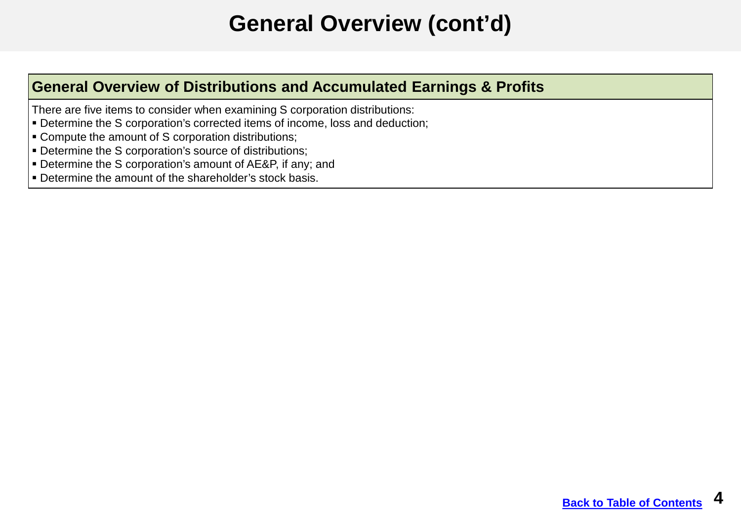### **General Overview (cont'd)**

#### **General Overview of Distributions and Accumulated Earnings & Profits**

There are five items to consider when examining S corporation distributions:

- Determine the S corporation's corrected items of income, loss and deduction;
- Compute the amount of S corporation distributions;
- Determine the S corporation's source of distributions;
- Determine the S corporation's amount of AE&P, if any; and
- Determine the amount of the shareholder's stock basis.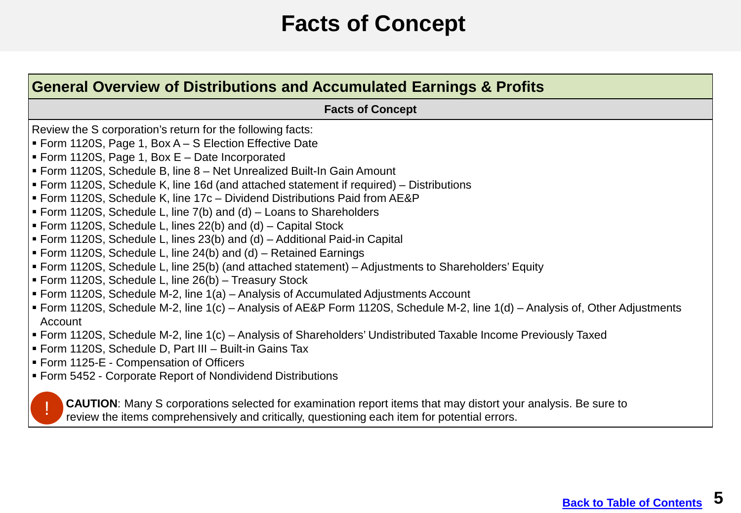#### **Facts of Concept**

<span id="page-4-0"></span>

| General Overview of Distributions and Accumulated Earnings & Profits                                                                                                                                                 |  |  |
|----------------------------------------------------------------------------------------------------------------------------------------------------------------------------------------------------------------------|--|--|
| <b>Facts of Concept</b>                                                                                                                                                                                              |  |  |
| Review the S corporation's return for the following facts:                                                                                                                                                           |  |  |
| • Form 1120S, Page 1, Box A – S Election Effective Date                                                                                                                                                              |  |  |
| Form 1120S, Page 1, Box $E -$ Date Incorporated                                                                                                                                                                      |  |  |
| Form 1120S, Schedule B, line 8 – Net Unrealized Built-In Gain Amount                                                                                                                                                 |  |  |
| • Form 1120S, Schedule K, line 16d (and attached statement if required) – Distributions                                                                                                                              |  |  |
| Form 1120S, Schedule K, line 17c – Dividend Distributions Paid from AE&P                                                                                                                                             |  |  |
| Form 1120S, Schedule L, line 7(b) and (d) – Loans to Shareholders                                                                                                                                                    |  |  |
| Form 1120S, Schedule L, lines 22(b) and (d) – Capital Stock                                                                                                                                                          |  |  |
| Form 1120S, Schedule L, lines 23(b) and (d) – Additional Paid-in Capital                                                                                                                                             |  |  |
| Form 1120S, Schedule L, line 24(b) and (d) – Retained Earnings                                                                                                                                                       |  |  |
| Form 1120S, Schedule L, line 25(b) (and attached statement) – Adjustments to Shareholders' Equity                                                                                                                    |  |  |
| Form 1120S, Schedule L, line 26(b) - Treasury Stock                                                                                                                                                                  |  |  |
| Form 1120S, Schedule M-2, line 1(a) – Analysis of Accumulated Adjustments Account                                                                                                                                    |  |  |
| Form 1120S, Schedule M-2, line 1(c) – Analysis of AE&P Form 1120S, Schedule M-2, line 1(d) – Analysis of, Other Adjustments                                                                                          |  |  |
| Account                                                                                                                                                                                                              |  |  |
| Form 1120S, Schedule M-2, line 1(c) - Analysis of Shareholders' Undistributed Taxable Income Previously Taxed                                                                                                        |  |  |
| Form 1120S, Schedule D, Part III - Built-in Gains Tax                                                                                                                                                                |  |  |
| Form 1125-E - Compensation of Officers                                                                                                                                                                               |  |  |
| Form 5452 - Corporate Report of Nondividend Distributions                                                                                                                                                            |  |  |
| <b>CAUTION:</b> Many S corporations selected for examination report items that may distort your analysis. Be sure to<br>review the items comprehensively and critically, questioning each item for potential errors. |  |  |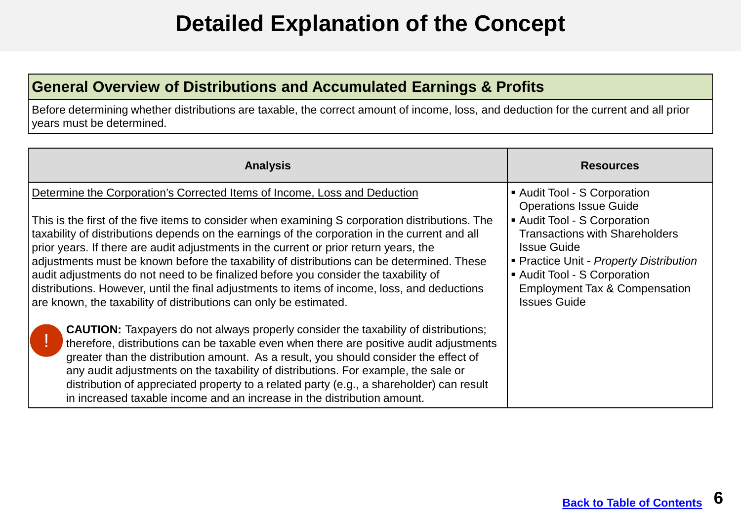### **Detailed Explanation of the Concept**

#### <span id="page-5-0"></span>**General Overview of Distributions and Accumulated Earnings & Profits**

 Before determining whether distributions are taxable, the correct amount of income, loss, and deduction for the current and all prior years must be determined.

| <b>Analysis</b>                                                                                                                                                                                                                                                                                                                                                                                                                                                                                                                                                                                                                                                                                                                                                                                                                                                                                                                                                                                                                                                                                                                                                                                   | <b>Resources</b>                                                                                                                                                                                                                                                                                     |
|---------------------------------------------------------------------------------------------------------------------------------------------------------------------------------------------------------------------------------------------------------------------------------------------------------------------------------------------------------------------------------------------------------------------------------------------------------------------------------------------------------------------------------------------------------------------------------------------------------------------------------------------------------------------------------------------------------------------------------------------------------------------------------------------------------------------------------------------------------------------------------------------------------------------------------------------------------------------------------------------------------------------------------------------------------------------------------------------------------------------------------------------------------------------------------------------------|------------------------------------------------------------------------------------------------------------------------------------------------------------------------------------------------------------------------------------------------------------------------------------------------------|
| Determine the Corporation's Corrected Items of Income, Loss and Deduction<br>This is the first of the five items to consider when examining S corporation distributions. The<br>taxability of distributions depends on the earnings of the corporation in the current and all<br>prior years. If there are audit adjustments in the current or prior return years, the<br>adjustments must be known before the taxability of distributions can be determined. These<br>audit adjustments do not need to be finalized before you consider the taxability of<br>distributions. However, until the final adjustments to items of income, loss, and deductions<br>are known, the taxability of distributions can only be estimated.<br><b>CAUTION:</b> Taxpayers do not always properly consider the taxability of distributions;<br>therefore, distributions can be taxable even when there are positive audit adjustments<br>greater than the distribution amount. As a result, you should consider the effect of<br>any audit adjustments on the taxability of distributions. For example, the sale or<br>distribution of appreciated property to a related party (e.g., a shareholder) can result | Audit Tool - S Corporation<br><b>Operations Issue Guide</b><br>Audit Tool - S Corporation<br><b>Transactions with Shareholders</b><br><b>Issue Guide</b><br>• Practice Unit - Property Distribution<br>Audit Tool - S Corporation<br><b>Employment Tax &amp; Compensation</b><br><b>Issues Guide</b> |
| in increased taxable income and an increase in the distribution amount.                                                                                                                                                                                                                                                                                                                                                                                                                                                                                                                                                                                                                                                                                                                                                                                                                                                                                                                                                                                                                                                                                                                           |                                                                                                                                                                                                                                                                                                      |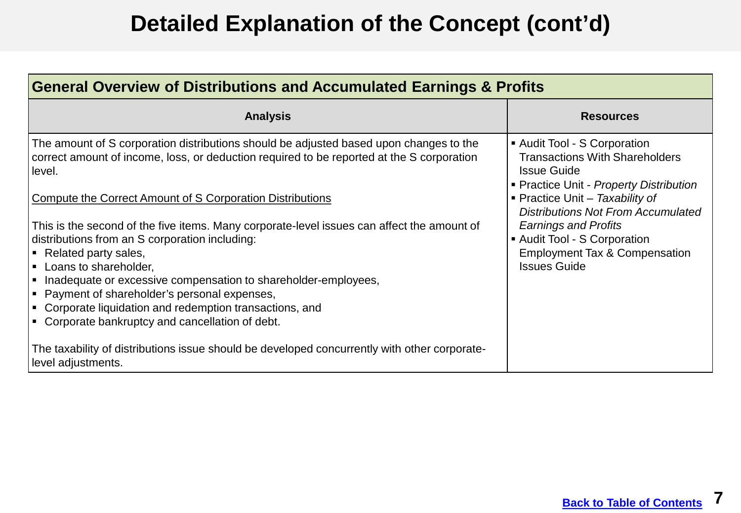| <b>General Overview of Distributions and Accumulated Earnings &amp; Profits</b>                                                                                                               |                                                                                                                                        |  |
|-----------------------------------------------------------------------------------------------------------------------------------------------------------------------------------------------|----------------------------------------------------------------------------------------------------------------------------------------|--|
| <b>Analysis</b>                                                                                                                                                                               | <b>Resources</b>                                                                                                                       |  |
| The amount of S corporation distributions should be adjusted based upon changes to the<br>correct amount of income, loss, or deduction required to be reported at the S corporation<br>Hevel. | • Audit Tool - S Corporation<br><b>Transactions With Shareholders</b><br><b>Issue Guide</b><br>• Practice Unit - Property Distribution |  |
| Compute the Correct Amount of S Corporation Distributions                                                                                                                                     | <b>• Practice Unit - Taxability of</b><br><b>Distributions Not From Accumulated</b>                                                    |  |
| This is the second of the five items. Many corporate-level issues can affect the amount of                                                                                                    | <b>Earnings and Profits</b>                                                                                                            |  |
| distributions from an S corporation including:                                                                                                                                                | Audit Tool - S Corporation                                                                                                             |  |
| Fural Party sales,                                                                                                                                                                            | <b>Employment Tax &amp; Compensation</b>                                                                                               |  |
| <b>Loans to shareholder,</b>                                                                                                                                                                  | <b>Issues Guide</b>                                                                                                                    |  |
| Inadequate or excessive compensation to shareholder-employees,<br> ■ Payment of shareholder's personal expenses,                                                                              |                                                                                                                                        |  |
| $\blacktriangleright$ Corporate liquidation and redemption transactions, and                                                                                                                  |                                                                                                                                        |  |
| Corporate bankruptcy and cancellation of debt.<br>L.                                                                                                                                          |                                                                                                                                        |  |
| The taxability of distributions issue should be developed concurrently with other corporate-<br>level adjustments.                                                                            |                                                                                                                                        |  |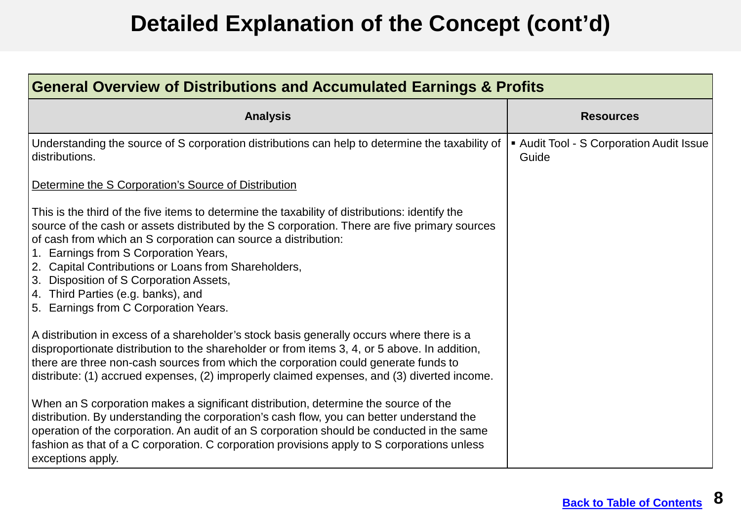| General Overview of Distributions and Accumulated Earnings & Profits                                                                                                                                                                                                                                                                                                                                                                                                                         |                                                   |  |
|----------------------------------------------------------------------------------------------------------------------------------------------------------------------------------------------------------------------------------------------------------------------------------------------------------------------------------------------------------------------------------------------------------------------------------------------------------------------------------------------|---------------------------------------------------|--|
| <b>Analysis</b>                                                                                                                                                                                                                                                                                                                                                                                                                                                                              | <b>Resources</b>                                  |  |
| Understanding the source of S corporation distributions can help to determine the taxability of<br>distributions.                                                                                                                                                                                                                                                                                                                                                                            | ■ Audit Tool - S Corporation Audit Issue<br>Guide |  |
| Determine the S Corporation's Source of Distribution                                                                                                                                                                                                                                                                                                                                                                                                                                         |                                                   |  |
| This is the third of the five items to determine the taxability of distributions: identify the<br>source of the cash or assets distributed by the S corporation. There are five primary sources<br>of cash from which an S corporation can source a distribution:<br>1. Earnings from S Corporation Years,<br>2. Capital Contributions or Loans from Shareholders,<br>3. Disposition of S Corporation Assets,<br>4. Third Parties (e.g. banks), and<br>5. Earnings from C Corporation Years. |                                                   |  |
| A distribution in excess of a shareholder's stock basis generally occurs where there is a<br>disproportionate distribution to the shareholder or from items 3, 4, or 5 above. In addition,<br>there are three non-cash sources from which the corporation could generate funds to<br>distribute: (1) accrued expenses, (2) improperly claimed expenses, and (3) diverted income.                                                                                                             |                                                   |  |
| When an S corporation makes a significant distribution, determine the source of the<br>distribution. By understanding the corporation's cash flow, you can better understand the<br>operation of the corporation. An audit of an S corporation should be conducted in the same<br>fashion as that of a C corporation. C corporation provisions apply to S corporations unless<br>exceptions apply.                                                                                           |                                                   |  |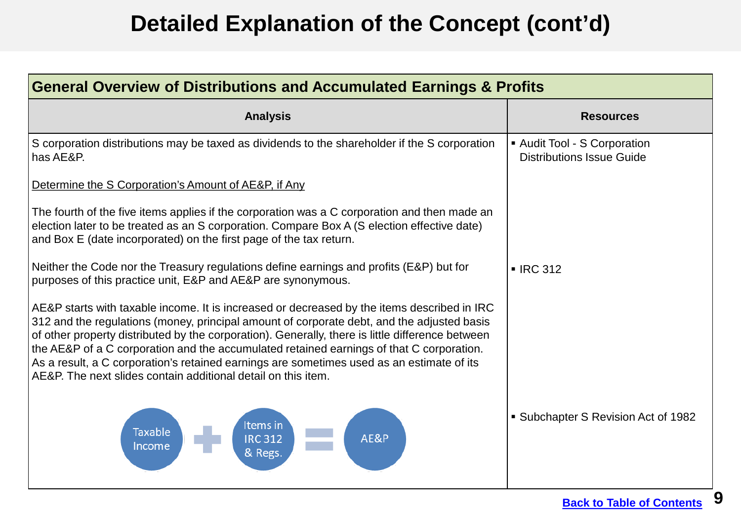| <b>General Overview of Distributions and Accumulated Earnings &amp; Profits</b>                                                                                                                                                                                                                                                                                                                                                                                                                                                                         |                                                                |  |
|---------------------------------------------------------------------------------------------------------------------------------------------------------------------------------------------------------------------------------------------------------------------------------------------------------------------------------------------------------------------------------------------------------------------------------------------------------------------------------------------------------------------------------------------------------|----------------------------------------------------------------|--|
| <b>Analysis</b>                                                                                                                                                                                                                                                                                                                                                                                                                                                                                                                                         | <b>Resources</b>                                               |  |
| S corporation distributions may be taxed as dividends to the shareholder if the S corporation<br>has AE&P.                                                                                                                                                                                                                                                                                                                                                                                                                                              | Audit Tool - S Corporation<br><b>Distributions Issue Guide</b> |  |
| Determine the S Corporation's Amount of AE&P, if Any                                                                                                                                                                                                                                                                                                                                                                                                                                                                                                    |                                                                |  |
| The fourth of the five items applies if the corporation was a C corporation and then made an<br>election later to be treated as an S corporation. Compare Box A (S election effective date)<br>and Box E (date incorporated) on the first page of the tax return.                                                                                                                                                                                                                                                                                       |                                                                |  |
| Neither the Code nor the Treasury regulations define earnings and profits (E&P) but for<br>purposes of this practice unit, E&P and AE&P are synonymous.                                                                                                                                                                                                                                                                                                                                                                                                 | $\blacksquare$ IRC 312                                         |  |
| AE&P starts with taxable income. It is increased or decreased by the items described in IRC<br>312 and the regulations (money, principal amount of corporate debt, and the adjusted basis<br>of other property distributed by the corporation). Generally, there is little difference between<br>the AE&P of a C corporation and the accumulated retained earnings of that C corporation.<br>As a result, a C corporation's retained earnings are sometimes used as an estimate of its<br>AE&P. The next slides contain additional detail on this item. |                                                                |  |
| Items in<br><b>Taxable</b><br>AE&P<br><b>IRC 312</b><br>Income<br>& Regs.                                                                                                                                                                                                                                                                                                                                                                                                                                                                               | • Subchapter S Revision Act of 1982                            |  |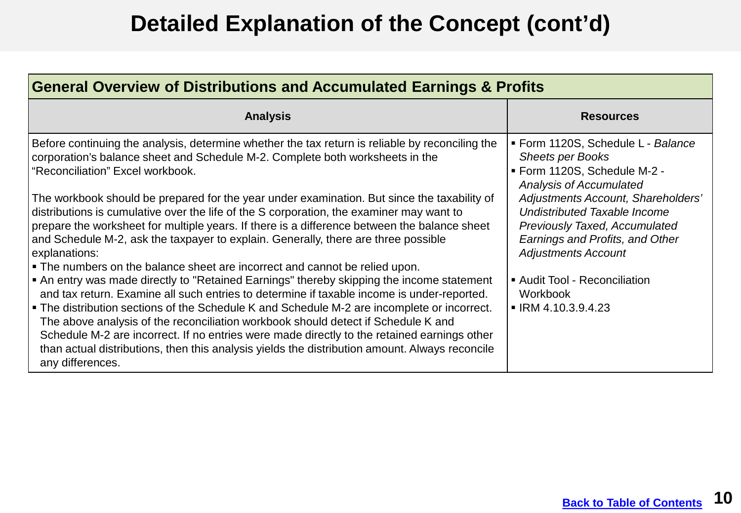| <b>General Overview of Distributions and Accumulated Earnings &amp; Profits</b>                                                                                                                                                                                                                                                                                                                                                                                                                                                                                                                                                                                                                                                                                                                                                                                                                                                                                                                                                                                                                                                                                                                                                                                                                           |                                                                                                                                                                                                                                                                                                                                                                                             |  |
|-----------------------------------------------------------------------------------------------------------------------------------------------------------------------------------------------------------------------------------------------------------------------------------------------------------------------------------------------------------------------------------------------------------------------------------------------------------------------------------------------------------------------------------------------------------------------------------------------------------------------------------------------------------------------------------------------------------------------------------------------------------------------------------------------------------------------------------------------------------------------------------------------------------------------------------------------------------------------------------------------------------------------------------------------------------------------------------------------------------------------------------------------------------------------------------------------------------------------------------------------------------------------------------------------------------|---------------------------------------------------------------------------------------------------------------------------------------------------------------------------------------------------------------------------------------------------------------------------------------------------------------------------------------------------------------------------------------------|--|
| <b>Analysis</b>                                                                                                                                                                                                                                                                                                                                                                                                                                                                                                                                                                                                                                                                                                                                                                                                                                                                                                                                                                                                                                                                                                                                                                                                                                                                                           | <b>Resources</b>                                                                                                                                                                                                                                                                                                                                                                            |  |
| Before continuing the analysis, determine whether the tax return is reliable by reconciling the<br>corporation's balance sheet and Schedule M-2. Complete both worksheets in the<br>"Reconciliation" Excel workbook.<br>The workbook should be prepared for the year under examination. But since the taxability of<br>distributions is cumulative over the life of the S corporation, the examiner may want to<br>prepare the worksheet for multiple years. If there is a difference between the balance sheet<br>and Schedule M-2, ask the taxpayer to explain. Generally, there are three possible<br>explanations:<br>• The numbers on the balance sheet are incorrect and cannot be relied upon.<br>• An entry was made directly to "Retained Earnings" thereby skipping the income statement<br>and tax return. Examine all such entries to determine if taxable income is under-reported.<br>• The distribution sections of the Schedule K and Schedule M-2 are incomplete or incorrect.<br>The above analysis of the reconciliation workbook should detect if Schedule K and<br>Schedule M-2 are incorrect. If no entries were made directly to the retained earnings other<br>than actual distributions, then this analysis yields the distribution amount. Always reconcile<br>any differences. | Form 1120S, Schedule L - Balance<br><b>Sheets per Books</b><br>■ Form 1120S, Schedule M-2 -<br><b>Analysis of Accumulated</b><br>Adjustments Account, Shareholders'<br>Undistributed Taxable Income<br><b>Previously Taxed, Accumulated</b><br>Earnings and Profits, and Other<br><b>Adjustments Account</b><br>Audit Tool - Reconciliation<br>Workbook<br>$\blacksquare$ IRM 4.10.3.9.4.23 |  |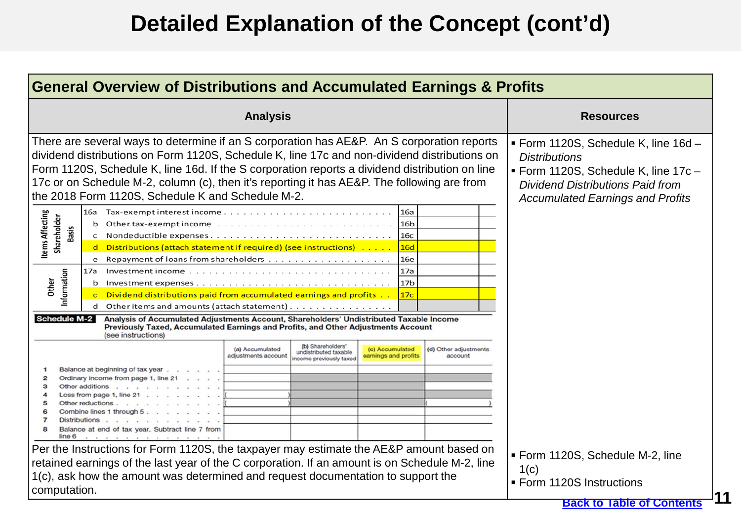|                                                                                       | <b>General Overview of Distributions and Accumulated Earnings &amp; Profits</b>                                                                                                                                                                                                                                                                                                                                                                                                                                                                                                                                                                                                                                                                 |                                  |                                                                                                                                                                                            |
|---------------------------------------------------------------------------------------|-------------------------------------------------------------------------------------------------------------------------------------------------------------------------------------------------------------------------------------------------------------------------------------------------------------------------------------------------------------------------------------------------------------------------------------------------------------------------------------------------------------------------------------------------------------------------------------------------------------------------------------------------------------------------------------------------------------------------------------------------|----------------------------------|--------------------------------------------------------------------------------------------------------------------------------------------------------------------------------------------|
| <b>Analysis</b>                                                                       |                                                                                                                                                                                                                                                                                                                                                                                                                                                                                                                                                                                                                                                                                                                                                 |                                  | <b>Resources</b>                                                                                                                                                                           |
|                                                                                       | There are several ways to determine if an S corporation has AE&P. An S corporation reports<br>dividend distributions on Form 1120S, Schedule K, line 17c and non-dividend distributions on<br>Form 1120S, Schedule K, line 16d. If the S corporation reports a dividend distribution on line<br>17c or on Schedule M-2, column (c), then it's reporting it has AE&P. The following are from<br>the 2018 Form 1120S, Schedule K and Schedule M-2.                                                                                                                                                                                                                                                                                                |                                  | ■ Form 1120S, Schedule K, line 16d -<br><b>Distributions</b><br>■ Form 1120S, Schedule K, line 17c -<br><b>Dividend Distributions Paid from</b><br><b>Accumulated Earnings and Profits</b> |
| ltems Affecting<br>Shareholder<br>Basis<br>nformation<br>Other<br><b>Schedule M-2</b> | 16a<br>Tax-exempt interest income $\ldots \ldots \ldots \ldots \ldots$<br>16a<br>16 <sub>b</sub><br>Other tax-exempt income<br>b<br>Nondeductible expenses.<br>16c<br>Distributions (attach statement if required) (see instructions)<br>16d<br>Repayment of loans from shareholders<br>16e<br>e<br>17a<br>17a<br>Investment income<br>17 <sub>b</sub><br>Investment expenses.<br>b<br>Dividend distributions paid from accumulated earnings and profits<br>17 <sub>c</sub><br>$\mathbf{C}$<br>Other items and amounts (attach statement)<br>Analysis of Accumulated Adjustments Account, Shareholders' Undistributed Taxable Income<br>Previously Taxed, Accumulated Earnings and Profits, and Other Adjustments Account<br>(see instructions) |                                  |                                                                                                                                                                                            |
| з<br><b>Distributions</b><br>line <sub>6</sub>                                        | (b) Shareholders'<br>(a) Accumulated<br>(c) Accumulated<br>undistributed taxable<br>earnings and profits<br>adjustments account<br>ncome previously taxed<br>Balance at beginning of tax year<br>Ordinary income from page 1, line 21<br>Other additions<br>Loss from page 1, line 21<br>Other reductions<br>Combine lines 1 through<br>Balance at end of tax year. Subtract line 7 from<br>Per the Instructions for Form 1120S, the taxpayer may estimate the AE&P amount based on                                                                                                                                                                                                                                                             | (d) Other adjustments<br>account | Form 1120S, Schedule M-2, line                                                                                                                                                             |
| computation.                                                                          | retained earnings of the last year of the C corporation. If an amount is on Schedule M-2, line<br>1(c), ask how the amount was determined and request documentation to support the                                                                                                                                                                                                                                                                                                                                                                                                                                                                                                                                                              |                                  | 1(c)<br>■ Form 1120S Instructions<br><b>Back to Table of Contents</b>                                                                                                                      |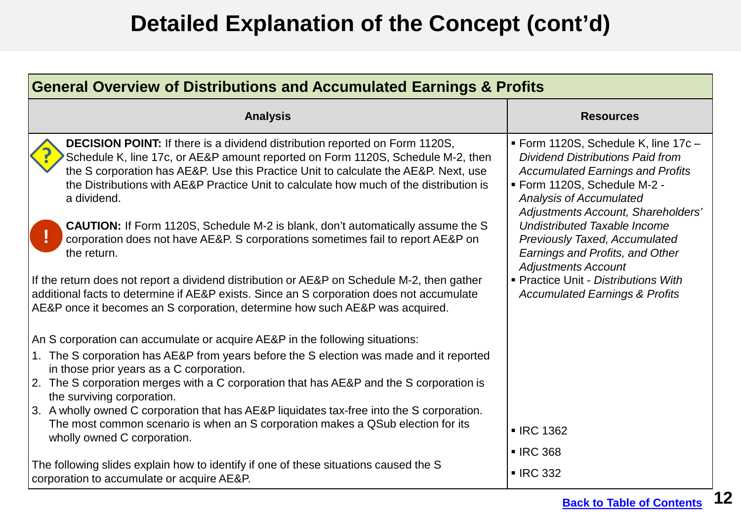| <b>General Overview of Distributions and Accumulated Earnings &amp; Profits</b>                                                                                                                                                                                                                                                                                       |                                                                                                                                                                                                                                  |  |
|-----------------------------------------------------------------------------------------------------------------------------------------------------------------------------------------------------------------------------------------------------------------------------------------------------------------------------------------------------------------------|----------------------------------------------------------------------------------------------------------------------------------------------------------------------------------------------------------------------------------|--|
| <b>Analysis</b>                                                                                                                                                                                                                                                                                                                                                       | <b>Resources</b>                                                                                                                                                                                                                 |  |
| <b>DECISION POINT:</b> If there is a dividend distribution reported on Form 1120S,<br>Schedule K, line 17c, or AE&P amount reported on Form 1120S, Schedule M-2, then<br>the S corporation has AE&P. Use this Practice Unit to calculate the AE&P. Next, use<br>the Distributions with AE&P Practice Unit to calculate how much of the distribution is<br>a dividend. | ■ Form 1120S, Schedule K, line 17c -<br><b>Dividend Distributions Paid from</b><br><b>Accumulated Earnings and Profits</b><br>Form 1120S, Schedule M-2 -<br><b>Analysis of Accumulated</b><br>Adjustments Account, Shareholders' |  |
| <b>CAUTION:</b> If Form 1120S, Schedule M-2 is blank, don't automatically assume the S<br>corporation does not have AE&P. S corporations sometimes fail to report AE&P on<br>the return.                                                                                                                                                                              | Undistributed Taxable Income<br><b>Previously Taxed, Accumulated</b><br>Earnings and Profits, and Other<br><b>Adjustments Account</b>                                                                                            |  |
| If the return does not report a dividend distribution or AE&P on Schedule M-2, then gather<br>additional facts to determine if AE&P exists. Since an S corporation does not accumulate<br>AE&P once it becomes an S corporation, determine how such AE&P was acquired.                                                                                                | Practice Unit - Distributions With<br><b>Accumulated Earnings &amp; Profits</b>                                                                                                                                                  |  |
| An S corporation can accumulate or acquire AE&P in the following situations:                                                                                                                                                                                                                                                                                          |                                                                                                                                                                                                                                  |  |
| 1. The S corporation has AE&P from years before the S election was made and it reported<br>in those prior years as a C corporation.                                                                                                                                                                                                                                   |                                                                                                                                                                                                                                  |  |
| 2. The S corporation merges with a C corporation that has AE&P and the S corporation is<br>the surviving corporation.                                                                                                                                                                                                                                                 |                                                                                                                                                                                                                                  |  |
| 3. A wholly owned C corporation that has AE&P liquidates tax-free into the S corporation.<br>The most common scenario is when an S corporation makes a QSub election for its                                                                                                                                                                                          |                                                                                                                                                                                                                                  |  |
| wholly owned C corporation.                                                                                                                                                                                                                                                                                                                                           | <b>- IRC 1362</b>                                                                                                                                                                                                                |  |
|                                                                                                                                                                                                                                                                                                                                                                       | <b>- IRC 368</b>                                                                                                                                                                                                                 |  |
| The following slides explain how to identify if one of these situations caused the S<br>corporation to accumulate or acquire AE&P.                                                                                                                                                                                                                                    | <b>- IRC 332</b>                                                                                                                                                                                                                 |  |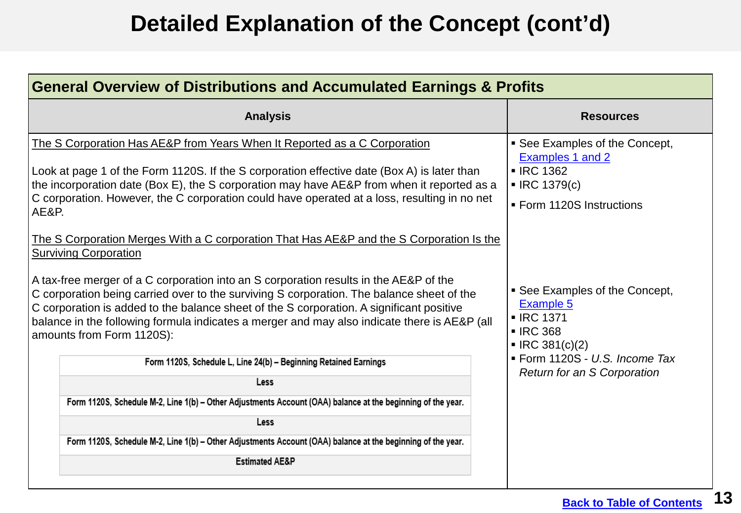<span id="page-12-0"></span>

| <b>General Overview of Distributions and Accumulated Earnings &amp; Profits</b>                                                                                                                                                                                                                                                                                                                                                                                                                                                                                                                                                                                                                                                                                                                                                                                                                                                                                                                                                                                                                                                                                                                                                                                           |                                                                                                                                                                                                                                                                                                                           |  |
|---------------------------------------------------------------------------------------------------------------------------------------------------------------------------------------------------------------------------------------------------------------------------------------------------------------------------------------------------------------------------------------------------------------------------------------------------------------------------------------------------------------------------------------------------------------------------------------------------------------------------------------------------------------------------------------------------------------------------------------------------------------------------------------------------------------------------------------------------------------------------------------------------------------------------------------------------------------------------------------------------------------------------------------------------------------------------------------------------------------------------------------------------------------------------------------------------------------------------------------------------------------------------|---------------------------------------------------------------------------------------------------------------------------------------------------------------------------------------------------------------------------------------------------------------------------------------------------------------------------|--|
| <b>Analysis</b>                                                                                                                                                                                                                                                                                                                                                                                                                                                                                                                                                                                                                                                                                                                                                                                                                                                                                                                                                                                                                                                                                                                                                                                                                                                           | <b>Resources</b>                                                                                                                                                                                                                                                                                                          |  |
| The S Corporation Has AE&P from Years When It Reported as a C Corporation<br>Look at page 1 of the Form 1120S. If the S corporation effective date (Box A) is later than<br>the incorporation date (Box E), the S corporation may have AE&P from when it reported as a<br>C corporation. However, the C corporation could have operated at a loss, resulting in no net<br>AE&P.<br>The S Corporation Merges With a C corporation That Has AE&P and the S Corporation Is the<br><b>Surviving Corporation</b><br>A tax-free merger of a C corporation into an S corporation results in the AE&P of the<br>C corporation being carried over to the surviving S corporation. The balance sheet of the<br>C corporation is added to the balance sheet of the S corporation. A significant positive<br>balance in the following formula indicates a merger and may also indicate there is AE&P (all<br>amounts from Form 1120S):<br>Form 1120S, Schedule L, Line 24(b) - Beginning Retained Earnings<br>Less<br>Form 1120S, Schedule M-2, Line 1(b) - Other Adjustments Account (OAA) balance at the beginning of the year.<br>Less<br>Form 1120S, Schedule M-2, Line 1(b) - Other Adjustments Account (OAA) balance at the beginning of the year.<br><b>Estimated AE&amp;P</b> | • See Examples of the Concept,<br>Examples 1 and 2<br><b>- IRC 1362</b><br>$\blacksquare$ IRC 1379(c)<br>■ Form 1120S Instructions<br>• See Examples of the Concept,<br>Example 5<br><b>- IRC 1371</b><br><b>- IRC 368</b><br>$\blacksquare$ IRC 381(c)(2)<br>Form 1120S - U.S. Income Tax<br>Return for an S Corporation |  |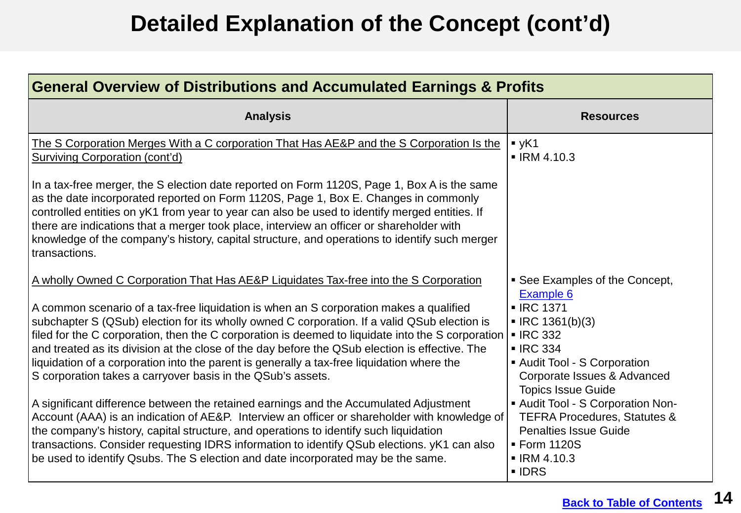<span id="page-13-0"></span>

| <b>General Overview of Distributions and Accumulated Earnings &amp; Profits</b>                                                                                                                                                                                                                                                                                                                                                                                                                                                                                                                                                                                                                                                                                                                                                                                                                                                                                                                                                                                                                                           |                                                                                                                                                                                                                                                                                                                                                                                                |  |  |
|---------------------------------------------------------------------------------------------------------------------------------------------------------------------------------------------------------------------------------------------------------------------------------------------------------------------------------------------------------------------------------------------------------------------------------------------------------------------------------------------------------------------------------------------------------------------------------------------------------------------------------------------------------------------------------------------------------------------------------------------------------------------------------------------------------------------------------------------------------------------------------------------------------------------------------------------------------------------------------------------------------------------------------------------------------------------------------------------------------------------------|------------------------------------------------------------------------------------------------------------------------------------------------------------------------------------------------------------------------------------------------------------------------------------------------------------------------------------------------------------------------------------------------|--|--|
| <b>Analysis</b>                                                                                                                                                                                                                                                                                                                                                                                                                                                                                                                                                                                                                                                                                                                                                                                                                                                                                                                                                                                                                                                                                                           | <b>Resources</b>                                                                                                                                                                                                                                                                                                                                                                               |  |  |
| The S Corporation Merges With a C corporation That Has AE&P and the S Corporation Is the<br><b>Surviving Corporation (cont'd)</b>                                                                                                                                                                                                                                                                                                                                                                                                                                                                                                                                                                                                                                                                                                                                                                                                                                                                                                                                                                                         | yK1<br>$\blacksquare$ IRM 4.10.3                                                                                                                                                                                                                                                                                                                                                               |  |  |
| In a tax-free merger, the S election date reported on Form 1120S, Page 1, Box A is the same<br>as the date incorporated reported on Form 1120S, Page 1, Box E. Changes in commonly<br>controlled entities on yK1 from year to year can also be used to identify merged entities. If<br>there are indications that a merger took place, interview an officer or shareholder with<br>knowledge of the company's history, capital structure, and operations to identify such merger<br>transactions.                                                                                                                                                                                                                                                                                                                                                                                                                                                                                                                                                                                                                         |                                                                                                                                                                                                                                                                                                                                                                                                |  |  |
| A wholly Owned C Corporation That Has AE&P Liquidates Tax-free into the S Corporation<br>A common scenario of a tax-free liquidation is when an S corporation makes a qualified<br>subchapter S (QSub) election for its wholly owned C corporation. If a valid QSub election is<br>filed for the C corporation, then the C corporation is deemed to liquidate into the S corporation<br>and treated as its division at the close of the day before the QSub election is effective. The<br>liquidation of a corporation into the parent is generally a tax-free liquidation where the<br>S corporation takes a carryover basis in the QSub's assets.<br>A significant difference between the retained earnings and the Accumulated Adjustment<br>Account (AAA) is an indication of AE&P. Interview an officer or shareholder with knowledge of<br>the company's history, capital structure, and operations to identify such liquidation<br>transactions. Consider requesting IDRS information to identify QSub elections. yK1 can also<br>be used to identify Qsubs. The S election and date incorporated may be the same. | • See Examples of the Concept,<br>Example 6<br><b>- IRC 1371</b><br>$\blacksquare$ IRC 1361(b)(3)<br><b>- IRC 332</b><br><b>IRC 334</b><br>Audit Tool - S Corporation<br>Corporate Issues & Advanced<br><b>Topics Issue Guide</b><br>- Audit Tool - S Corporation Non-<br><b>TEFRA Procedures, Statutes &amp;</b><br><b>Penalties Issue Guide</b><br>■ Form 1120S<br>$\blacksquare$ IRM 4.10.3 |  |  |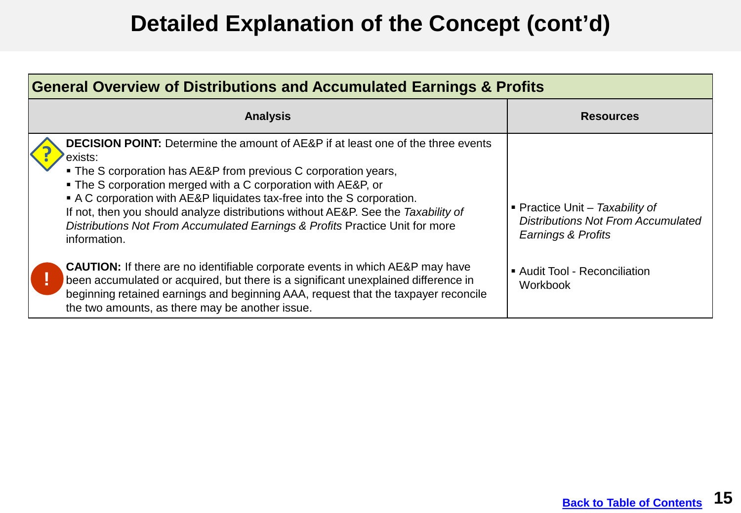| General Overview of Distributions and Accumulated Earnings & Profits                                                                                                                                                                                                                                                                                                                                                                                                                                   |                                                                                                           |
|--------------------------------------------------------------------------------------------------------------------------------------------------------------------------------------------------------------------------------------------------------------------------------------------------------------------------------------------------------------------------------------------------------------------------------------------------------------------------------------------------------|-----------------------------------------------------------------------------------------------------------|
| <b>Analysis</b>                                                                                                                                                                                                                                                                                                                                                                                                                                                                                        | <b>Resources</b>                                                                                          |
| <b>DECISION POINT:</b> Determine the amount of AE&P if at least one of the three events<br>exists:<br>• The S corporation has AE&P from previous C corporation years,<br>• The S corporation merged with a C corporation with AE&P, or<br>• A C corporation with AE&P liquidates tax-free into the S corporation.<br>If not, then you should analyze distributions without AE&P. See the Taxability of<br>Distributions Not From Accumulated Earnings & Profits Practice Unit for more<br>information. | <b>• Practice Unit – Taxability of</b><br><b>Distributions Not From Accumulated</b><br>Earnings & Profits |
| <b>CAUTION:</b> If there are no identifiable corporate events in which AE&P may have<br>been accumulated or acquired, but there is a significant unexplained difference in<br>beginning retained earnings and beginning AAA, request that the taxpayer reconcile<br>the two amounts, as there may be another issue.                                                                                                                                                                                    | Audit Tool - Reconciliation<br>Workbook                                                                   |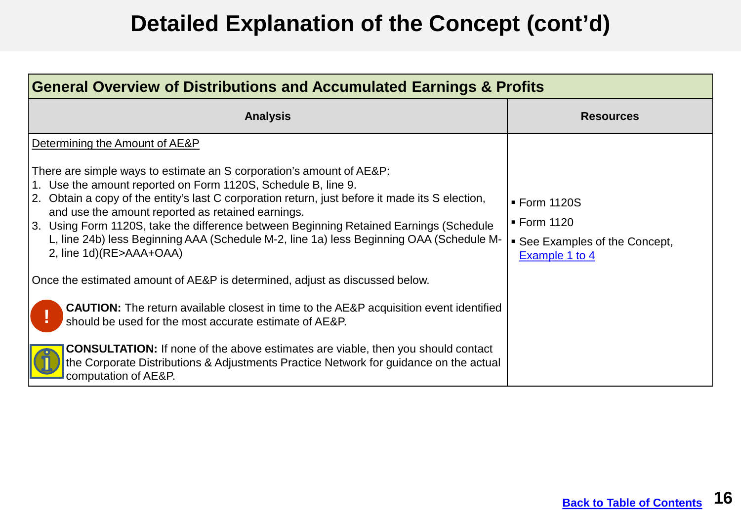<span id="page-15-0"></span>

| <b>General Overview of Distributions and Accumulated Earnings &amp; Profits</b>                                                                                                                                                                                                                                                                                                                                                                                                                                                                                                                                                                                                                                                                                                           |                                                                                 |  |
|-------------------------------------------------------------------------------------------------------------------------------------------------------------------------------------------------------------------------------------------------------------------------------------------------------------------------------------------------------------------------------------------------------------------------------------------------------------------------------------------------------------------------------------------------------------------------------------------------------------------------------------------------------------------------------------------------------------------------------------------------------------------------------------------|---------------------------------------------------------------------------------|--|
| <b>Analysis</b>                                                                                                                                                                                                                                                                                                                                                                                                                                                                                                                                                                                                                                                                                                                                                                           | <b>Resources</b>                                                                |  |
| Determining the Amount of AE&P<br>There are simple ways to estimate an S corporation's amount of AE&P:<br>1. Use the amount reported on Form 1120S, Schedule B, line 9.<br>2. Obtain a copy of the entity's last C corporation return, just before it made its S election,<br>and use the amount reported as retained earnings.<br>3. Using Form 1120S, take the difference between Beginning Retained Earnings (Schedule<br>L, line 24b) less Beginning AAA (Schedule M-2, line 1a) less Beginning OAA (Schedule M-<br>2, line 1d)(RE>AAA+OAA)<br>Once the estimated amount of AE&P is determined, adjust as discussed below.<br><b>CAUTION:</b> The return available closest in time to the AE&P acquisition event identified<br>should be used for the most accurate estimate of AE&P. | ■ Form 1120S<br>■ Form 1120<br>• See Examples of the Concept,<br>Example 1 to 4 |  |
| <b>CONSULTATION:</b> If none of the above estimates are viable, then you should contact<br>the Corporate Distributions & Adjustments Practice Network for guidance on the actual<br>computation of AE&P.                                                                                                                                                                                                                                                                                                                                                                                                                                                                                                                                                                                  |                                                                                 |  |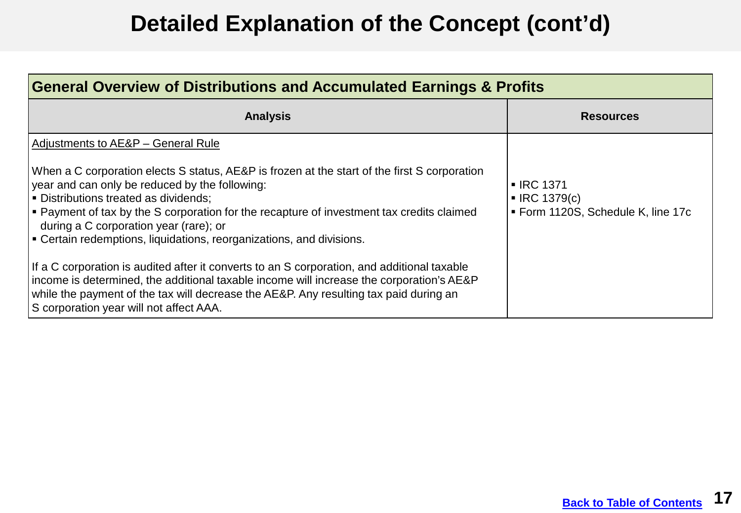| General Overview of Distributions and Accumulated Earnings & Profits                                                                                                                                                                                                                                                                                                                                       |                                                                                |
|------------------------------------------------------------------------------------------------------------------------------------------------------------------------------------------------------------------------------------------------------------------------------------------------------------------------------------------------------------------------------------------------------------|--------------------------------------------------------------------------------|
| <b>Analysis</b>                                                                                                                                                                                                                                                                                                                                                                                            | <b>Resources</b>                                                               |
| Adjustments to AE&P - General Rule                                                                                                                                                                                                                                                                                                                                                                         |                                                                                |
| When a C corporation elects S status, AE&P is frozen at the start of the first S corporation<br>year and can only be reduced by the following:<br>Distributions treated as dividends:<br>$\vert$ • Payment of tax by the S corporation for the recapture of investment tax credits claimed<br>during a C corporation year (rare); or<br>Certain redemptions, liquidations, reorganizations, and divisions. | • IRC 1371<br>$\blacksquare$ IRC 1379(c)<br>■ Form 1120S, Schedule K, line 17c |
| If a C corporation is audited after it converts to an S corporation, and additional taxable<br>income is determined, the additional taxable income will increase the corporation's AE&P<br>while the payment of the tax will decrease the AE&P. Any resulting tax paid during an<br>S corporation year will not affect AAA.                                                                                |                                                                                |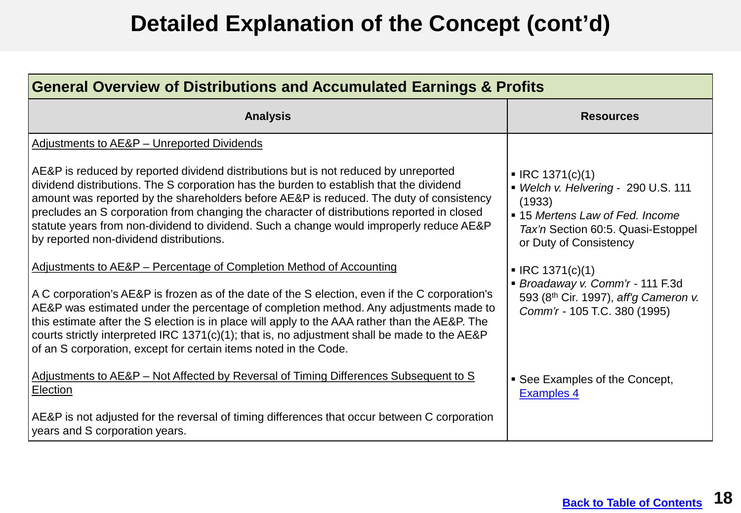| <b>General Overview of Distributions and Accumulated Earnings &amp; Profits</b>                                                                                                                                                                                                                                                                                                                                                                                                                                                      |                                                                                                                                                                    |  |
|--------------------------------------------------------------------------------------------------------------------------------------------------------------------------------------------------------------------------------------------------------------------------------------------------------------------------------------------------------------------------------------------------------------------------------------------------------------------------------------------------------------------------------------|--------------------------------------------------------------------------------------------------------------------------------------------------------------------|--|
| <b>Analysis</b>                                                                                                                                                                                                                                                                                                                                                                                                                                                                                                                      | <b>Resources</b>                                                                                                                                                   |  |
| Adjustments to AE&P - Unreported Dividends                                                                                                                                                                                                                                                                                                                                                                                                                                                                                           |                                                                                                                                                                    |  |
| AE&P is reduced by reported dividend distributions but is not reduced by unreported<br>dividend distributions. The S corporation has the burden to establish that the dividend<br>amount was reported by the shareholders before AE&P is reduced. The duty of consistency<br>precludes an S corporation from changing the character of distributions reported in closed<br>statute years from non-dividend to dividend. Such a change would improperly reduce AE&P<br>by reported non-dividend distributions.                        | IRC 1371(c)(1)<br>• Welch v. Helvering - 290 U.S. 111<br>(1933)<br>• 15 Mertens Law of Fed. Income<br>Tax'n Section 60:5. Quasi-Estoppel<br>or Duty of Consistency |  |
| Adjustments to AE&P – Percentage of Completion Method of Accounting<br>A C corporation's AE&P is frozen as of the date of the S election, even if the C corporation's<br>AE&P was estimated under the percentage of completion method. Any adjustments made to<br>this estimate after the S election is in place will apply to the AAA rather than the AE&P. The<br>courts strictly interpreted IRC 1371(c)(1); that is, no adjustment shall be made to the AE&P<br>of an S corporation, except for certain items noted in the Code. | $\blacksquare$ IRC 1371(c)(1)<br>Broadaway v. Comm'r - 111 F.3d<br>593 (8th Cir. 1997), aff'g Cameron v.<br>Comm'r - 105 T.C. 380 (1995)                           |  |
| Adjustments to AE&P - Not Affected by Reversal of Timing Differences Subsequent to S<br><b>Election</b>                                                                                                                                                                                                                                                                                                                                                                                                                              | • See Examples of the Concept,<br><b>Examples 4</b>                                                                                                                |  |
| AE&P is not adjusted for the reversal of timing differences that occur between C corporation<br>years and S corporation years.                                                                                                                                                                                                                                                                                                                                                                                                       |                                                                                                                                                                    |  |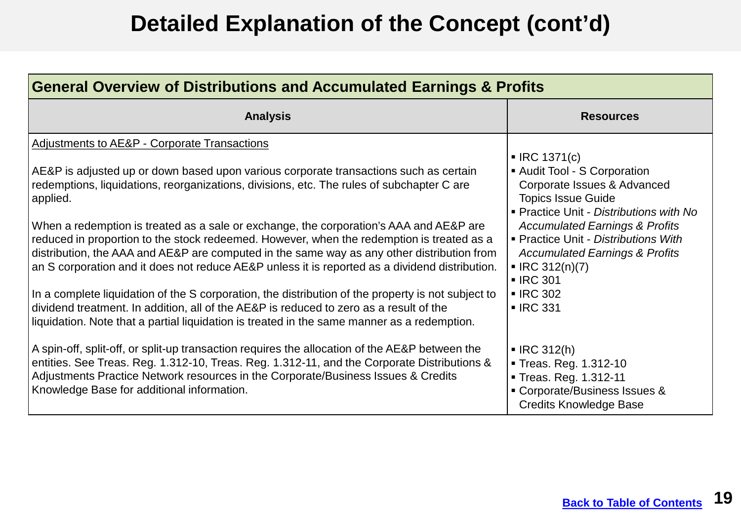| <b>General Overview of Distributions and Accumulated Earnings &amp; Profits</b>                                                                                                                                                                                                                                                                                                                                                                                                                                                                                                                                                                                                                                                                                                                                                                                                                                                      |                                                                                                                                                                                                                                                                                                                                                                              |  |
|--------------------------------------------------------------------------------------------------------------------------------------------------------------------------------------------------------------------------------------------------------------------------------------------------------------------------------------------------------------------------------------------------------------------------------------------------------------------------------------------------------------------------------------------------------------------------------------------------------------------------------------------------------------------------------------------------------------------------------------------------------------------------------------------------------------------------------------------------------------------------------------------------------------------------------------|------------------------------------------------------------------------------------------------------------------------------------------------------------------------------------------------------------------------------------------------------------------------------------------------------------------------------------------------------------------------------|--|
| <b>Analysis</b>                                                                                                                                                                                                                                                                                                                                                                                                                                                                                                                                                                                                                                                                                                                                                                                                                                                                                                                      | <b>Resources</b>                                                                                                                                                                                                                                                                                                                                                             |  |
| Adjustments to AE&P - Corporate Transactions<br>AE&P is adjusted up or down based upon various corporate transactions such as certain<br>redemptions, liquidations, reorganizations, divisions, etc. The rules of subchapter C are<br>applied.<br>When a redemption is treated as a sale or exchange, the corporation's AAA and AE&P are<br>reduced in proportion to the stock redeemed. However, when the redemption is treated as a<br>distribution, the AAA and AE&P are computed in the same way as any other distribution from<br>an S corporation and it does not reduce AE&P unless it is reported as a dividend distribution.<br>In a complete liquidation of the S corporation, the distribution of the property is not subject to<br>dividend treatment. In addition, all of the AE&P is reduced to zero as a result of the<br>liquidation. Note that a partial liquidation is treated in the same manner as a redemption. | IRC 1371(c)<br>Audit Tool - S Corporation<br>Corporate Issues & Advanced<br><b>Topics Issue Guide</b><br>Practice Unit - Distributions with No<br><b>Accumulated Earnings &amp; Profits</b><br>Practice Unit - Distributions With<br><b>Accumulated Earnings &amp; Profits</b><br>$\blacksquare$ IRC 312(n)(7)<br><b>IRC 301</b><br>$\blacksquare$ IRC 302<br><b>IRC 331</b> |  |
| A spin-off, split-off, or split-up transaction requires the allocation of the AE&P between the<br>entities. See Treas. Reg. 1.312-10, Treas. Reg. 1.312-11, and the Corporate Distributions &<br>Adjustments Practice Network resources in the Corporate/Business Issues & Credits<br>Knowledge Base for additional information.                                                                                                                                                                                                                                                                                                                                                                                                                                                                                                                                                                                                     | $\blacksquare$ IRC 312(h)<br>Treas. Reg. 1.312-10<br>Treas. Reg. 1.312-11<br>• Corporate/Business Issues &<br><b>Credits Knowledge Base</b>                                                                                                                                                                                                                                  |  |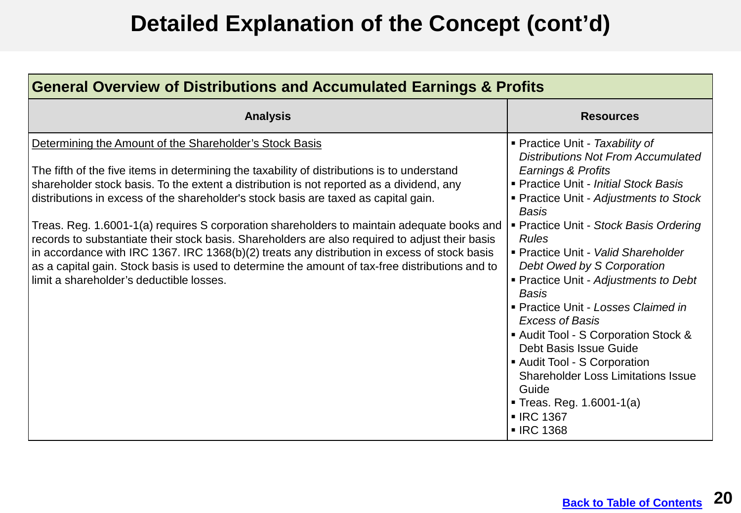| <b>General Overview of Distributions and Accumulated Earnings &amp; Profits</b>                                                                                                                                                                                                                                                                                                                                                                                                                                                                                                                                                                                                                                                                                                           |                                                                                                                                                                                                                                                                                                                                                                                                                                                                                                                                                                                                                                                                                   |  |
|-------------------------------------------------------------------------------------------------------------------------------------------------------------------------------------------------------------------------------------------------------------------------------------------------------------------------------------------------------------------------------------------------------------------------------------------------------------------------------------------------------------------------------------------------------------------------------------------------------------------------------------------------------------------------------------------------------------------------------------------------------------------------------------------|-----------------------------------------------------------------------------------------------------------------------------------------------------------------------------------------------------------------------------------------------------------------------------------------------------------------------------------------------------------------------------------------------------------------------------------------------------------------------------------------------------------------------------------------------------------------------------------------------------------------------------------------------------------------------------------|--|
| <b>Analysis</b>                                                                                                                                                                                                                                                                                                                                                                                                                                                                                                                                                                                                                                                                                                                                                                           | <b>Resources</b>                                                                                                                                                                                                                                                                                                                                                                                                                                                                                                                                                                                                                                                                  |  |
| Determining the Amount of the Shareholder's Stock Basis<br>The fifth of the five items in determining the taxability of distributions is to understand<br>shareholder stock basis. To the extent a distribution is not reported as a dividend, any<br>distributions in excess of the shareholder's stock basis are taxed as capital gain.<br>Treas. Reg. 1.6001-1(a) requires S corporation shareholders to maintain adequate books and<br>records to substantiate their stock basis. Shareholders are also required to adjust their basis<br>in accordance with IRC 1367. IRC 1368(b)(2) treats any distribution in excess of stock basis<br>as a capital gain. Stock basis is used to determine the amount of tax-free distributions and to<br>limit a shareholder's deductible losses. | • Practice Unit - Taxability of<br><b>Distributions Not From Accumulated</b><br>Earnings & Profits<br>Practice Unit - Initial Stock Basis<br>• Practice Unit - Adjustments to Stock<br><b>Basis</b><br>Practice Unit - Stock Basis Ordering<br><b>Rules</b><br>- Practice Unit - Valid Shareholder<br>Debt Owed by S Corporation<br>■ Practice Unit - Adjustments to Debt<br><b>Basis</b><br>• Practice Unit - Losses Claimed in<br><b>Excess of Basis</b><br>Audit Tool - S Corporation Stock &<br>Debt Basis Issue Guide<br>Audit Tool - S Corporation<br><b>Shareholder Loss Limitations Issue</b><br>Guide<br><b>Treas. Reg. 1.6001-1(a)</b><br><b>IRC 1367</b><br>■ IRC 1368 |  |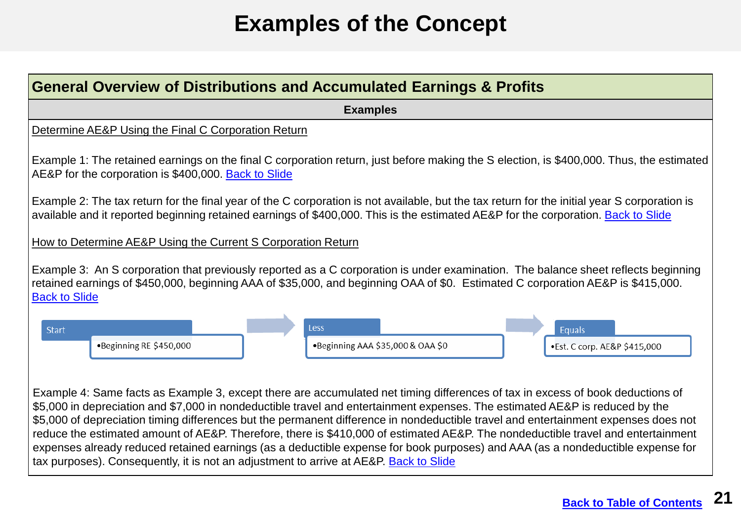# **Examples of the Concept**

<span id="page-20-0"></span>

| <b>General Overview of Distributions and Accumulated Earnings &amp; Profits</b>                                                                                                                                                                                                                                                                                                                                                                                                                                                                                                                                                                                                                                                                                      |
|----------------------------------------------------------------------------------------------------------------------------------------------------------------------------------------------------------------------------------------------------------------------------------------------------------------------------------------------------------------------------------------------------------------------------------------------------------------------------------------------------------------------------------------------------------------------------------------------------------------------------------------------------------------------------------------------------------------------------------------------------------------------|
| <b>Examples</b>                                                                                                                                                                                                                                                                                                                                                                                                                                                                                                                                                                                                                                                                                                                                                      |
| Determine AE&P Using the Final C Corporation Return                                                                                                                                                                                                                                                                                                                                                                                                                                                                                                                                                                                                                                                                                                                  |
| Example 1: The retained earnings on the final C corporation return, just before making the S election, is \$400,000. Thus, the estimated<br>AE&P for the corporation is \$400,000. Back to Slide                                                                                                                                                                                                                                                                                                                                                                                                                                                                                                                                                                     |
| Example 2: The tax return for the final year of the C corporation is not available, but the tax return for the initial year S corporation is<br>available and it reported beginning retained earnings of \$400,000. This is the estimated AE&P for the corporation. Back to Slide                                                                                                                                                                                                                                                                                                                                                                                                                                                                                    |
| How to Determine AE&P Using the Current S Corporation Return                                                                                                                                                                                                                                                                                                                                                                                                                                                                                                                                                                                                                                                                                                         |
| Example 3: An S corporation that previously reported as a C corporation is under examination. The balance sheet reflects beginning<br>retained earnings of \$450,000, beginning AAA of \$35,000, and beginning OAA of \$0. Estimated C corporation AE&P is \$415,000.<br><b>Back to Slide</b>                                                                                                                                                                                                                                                                                                                                                                                                                                                                        |
| <b>Less</b><br><b>Start</b><br>Equals<br>.Beginning RE \$450,000<br>.Beginning AAA \$35,000 & OAA \$0<br>·Est. C corp. AE&P \$415,000                                                                                                                                                                                                                                                                                                                                                                                                                                                                                                                                                                                                                                |
| Example 4: Same facts as Example 3, except there are accumulated net timing differences of tax in excess of book deductions of<br>\$5,000 in depreciation and \$7,000 in nondeductible travel and entertainment expenses. The estimated AE&P is reduced by the<br>\$5,000 of depreciation timing differences but the permanent difference in nondeductible travel and entertainment expenses does not<br>reduce the estimated amount of AE&P. Therefore, there is \$410,000 of estimated AE&P. The nondeductible travel and entertainment<br>expenses already reduced retained earnings (as a deductible expense for book purposes) and AAA (as a nondeductible expense for<br>tax purposes). Consequently, it is not an adjustment to arrive at AE&P. Back to Slide |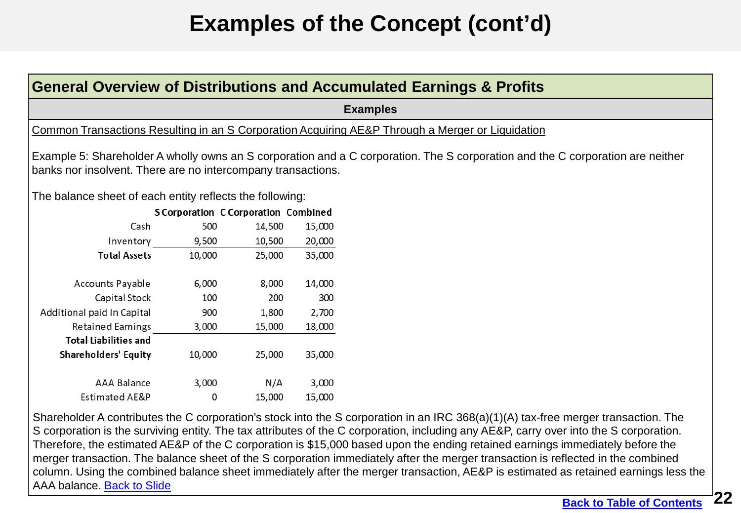# **Examples of the Concept (cont'd)**

<span id="page-21-0"></span>

|                                                              |                                                  |        |        | <b>General Overview of Distributions and Accumulated Earnings &amp; Profits</b>                                                |
|--------------------------------------------------------------|--------------------------------------------------|--------|--------|--------------------------------------------------------------------------------------------------------------------------------|
|                                                              |                                                  |        |        | <b>Examples</b>                                                                                                                |
|                                                              |                                                  |        |        | Common Transactions Resulting in an S Corporation Acquiring AE&P Through a Merger or Liquidation                               |
| banks nor insolvent. There are no intercompany transactions. |                                                  |        |        | Example 5: Shareholder A wholly owns an S corporation and a C corporation. The S corporation and the C corporation are neither |
| The balance sheet of each entity reflects the following:     |                                                  |        |        |                                                                                                                                |
| Cash                                                         | <b>SCorporation CCorporation Combined</b><br>500 | 14,500 | 15,000 |                                                                                                                                |
| Inventory                                                    | 9,500                                            | 10,500 | 20,000 |                                                                                                                                |
| <b>Total Assets</b>                                          | 10,000                                           | 25,000 | 35,000 |                                                                                                                                |
| Accounts Payable                                             | 6,000                                            | 8,000  | 14,000 |                                                                                                                                |
| Capital Stock                                                | 100                                              | 200    | 300    |                                                                                                                                |
| Additional paid In Capital                                   | 900                                              | 1,800  | 2,700  |                                                                                                                                |
| Retained Earnings                                            | 3,000                                            | 15,000 | 18,000 |                                                                                                                                |
| <b>Total Liabilities and</b>                                 |                                                  |        |        |                                                                                                                                |
| <b>Shareholders' Equity</b>                                  | 10,000                                           | 25,000 | 35,000 |                                                                                                                                |
| <b>AAA Balance</b>                                           | 3,000                                            | N/A    | 3,000  |                                                                                                                                |
| Estimated AE&P                                               | 0                                                | 15,000 | 15,000 |                                                                                                                                |

 Shareholder A contributes the C corporation's stock into the S corporation in an IRC 368(a)(1)(A) tax-free merger transaction. The S corporation is the surviving entity. The tax attributes of the C corporation, including any AE&P, carry over into the S corporation. Therefore, the estimated AE&P of the C corporation is \$15,000 based upon the ending retained earnings immediately before the merger transaction. The balance sheet of the S corporation immediately after the merger transaction is reflected in the combined column. Using the combined balance sheet immediately after the merger transaction, AE&P is estimated as retained earnings less the AAA balance. [Back to Slide](#page-12-0)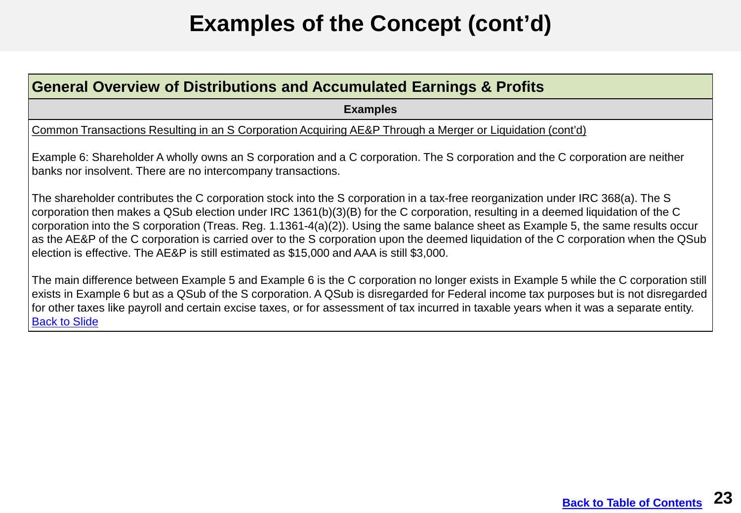# **Examples of the Concept (cont'd)**

#### <span id="page-22-0"></span>**General Overview of Distributions and Accumulated Earnings & Profits**

**Examples** 

Common Transactions Resulting in an S Corporation Acquiring AE&P Through a Merger or Liquidation (cont'd)

Example 6: Shareholder A wholly owns an S corporation and a C corporation. The S corporation and the C corporation are neither banks nor insolvent. There are no intercompany transactions.

The shareholder contributes the C corporation stock into the S corporation in a tax-free reorganization under IRC 368(a). The S corporation then makes a QSub election under IRC 1361(b)(3)(B) for the C corporation, resulting in a deemed liquidation of the C corporation into the S corporation (Treas. Reg. 1.1361-4(a)(2)). Using the same balance sheet as Example 5, the same results occur as the AE&P of the C corporation is carried over to the S corporation upon the deemed liquidation of the C corporation when the QSub election is effective. The AE&P is still estimated as \$15,000 and AAA is still \$3,000.

 The main difference between Example 5 and Example 6 is the C corporation no longer exists in Example 5 while the C corporation still exists in Example 6 but as a QSub of the S corporation. A QSub is disregarded for Federal income tax purposes but is not disregarded for other taxes like payroll and certain excise taxes, or for assessment of tax incurred in taxable years when it was a separate entity. [Back to Slide](#page-13-0)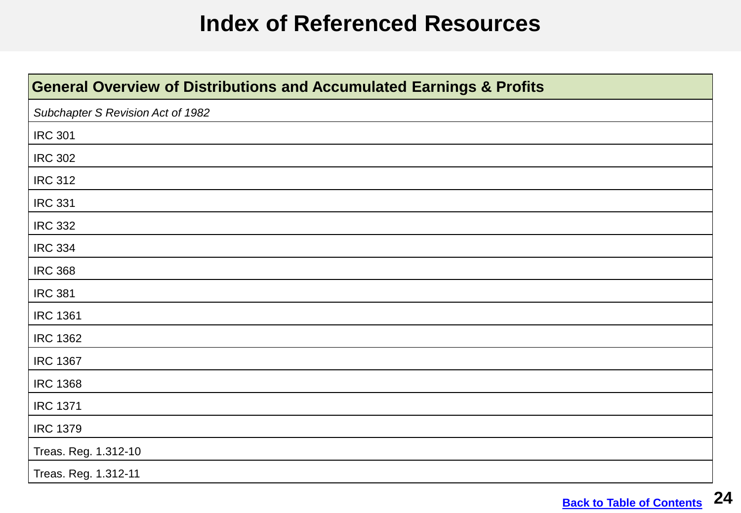#### **Index of Referenced Resources**

<span id="page-23-0"></span>

| <b>General Overview of Distributions and Accumulated Earnings &amp; Profits</b> |
|---------------------------------------------------------------------------------|
| Subchapter S Revision Act of 1982                                               |
| <b>IRC 301</b>                                                                  |
| <b>IRC 302</b>                                                                  |
| <b>IRC 312</b>                                                                  |
| <b>IRC 331</b>                                                                  |
| <b>IRC 332</b>                                                                  |
| <b>IRC 334</b>                                                                  |
| <b>IRC 368</b>                                                                  |
| <b>IRC 381</b>                                                                  |
| <b>IRC 1361</b>                                                                 |
| <b>IRC 1362</b>                                                                 |
| <b>IRC 1367</b>                                                                 |
| <b>IRC 1368</b>                                                                 |
| <b>IRC 1371</b>                                                                 |
| <b>IRC 1379</b>                                                                 |
| Treas. Reg. 1.312-10                                                            |
| Treas. Reg. 1.312-11                                                            |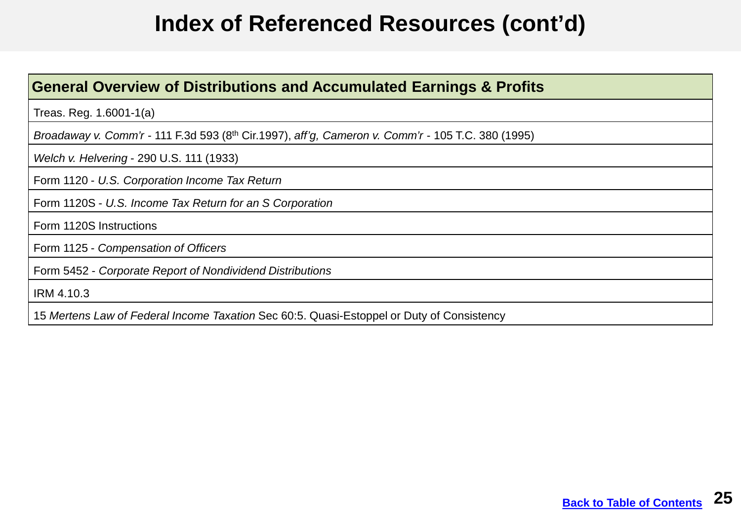#### **Index of Referenced Resources (cont'd)**

#### **General Overview of Distributions and Accumulated Earnings & Profits**

Treas. Reg. 1.6001-1(a)

 *Broadaway v. Comm'r* - 111 F.3d 593 (8th Cir.1997), *aff'g, Cameron v. Comm'r* - 105 T.C. 380 (1995)

*Welch v. Helvering* - 290 U.S. 111 (1933)

Form 1120 - *U.S. Corporation Income Tax Return* 

Form 1120S - *U.S. Income Tax Return for an S Corporation* 

Form 1120S Instructions

Form 1125 - *Compensation of Officers* 

 Form 5452 - *Corporate Report of Nondividend Distributions* 

IRM 4.10.3

 15 *Mertens Law of Federal Income Taxation* Sec 60:5. Quasi-Estoppel or Duty of Consistency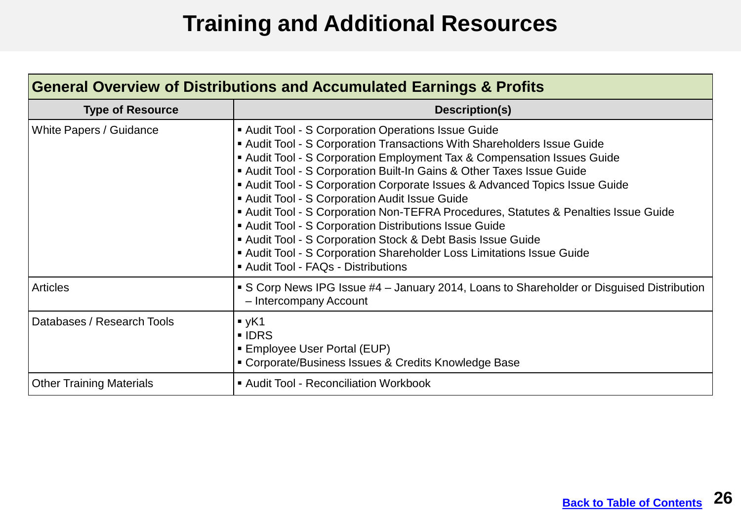## **Training and Additional Resources**

<span id="page-25-0"></span>

| <b>General Overview of Distributions and Accumulated Earnings &amp; Profits</b> |                                                                                                                                                                                                                                                                                                                                                                                                                                                                                                                                                                                                                                                                                                                               |  |
|---------------------------------------------------------------------------------|-------------------------------------------------------------------------------------------------------------------------------------------------------------------------------------------------------------------------------------------------------------------------------------------------------------------------------------------------------------------------------------------------------------------------------------------------------------------------------------------------------------------------------------------------------------------------------------------------------------------------------------------------------------------------------------------------------------------------------|--|
| <b>Type of Resource</b>                                                         | Description(s)                                                                                                                                                                                                                                                                                                                                                                                                                                                                                                                                                                                                                                                                                                                |  |
| White Papers / Guidance                                                         | Audit Tool - S Corporation Operations Issue Guide<br>Audit Tool - S Corporation Transactions With Shareholders Issue Guide<br>Audit Tool - S Corporation Employment Tax & Compensation Issues Guide<br>Audit Tool - S Corporation Built-In Gains & Other Taxes Issue Guide<br>Audit Tool - S Corporation Corporate Issues & Advanced Topics Issue Guide<br>Audit Tool - S Corporation Audit Issue Guide<br>Audit Tool - S Corporation Non-TEFRA Procedures, Statutes & Penalties Issue Guide<br>Audit Tool - S Corporation Distributions Issue Guide<br>Audit Tool - S Corporation Stock & Debt Basis Issue Guide<br>Audit Tool - S Corporation Shareholder Loss Limitations Issue Guide<br>Audit Tool - FAQs - Distributions |  |
| <b>Articles</b>                                                                 | S Corp News IPG Issue #4 - January 2014, Loans to Shareholder or Disguised Distribution<br>- Intercompany Account                                                                                                                                                                                                                                                                                                                                                                                                                                                                                                                                                                                                             |  |
| Databases / Research Tools                                                      | yK1<br>• IDRS<br>■ Employee User Portal (EUP)<br>• Corporate/Business Issues & Credits Knowledge Base                                                                                                                                                                                                                                                                                                                                                                                                                                                                                                                                                                                                                         |  |
| <b>Other Training Materials</b>                                                 | Audit Tool - Reconciliation Workbook                                                                                                                                                                                                                                                                                                                                                                                                                                                                                                                                                                                                                                                                                          |  |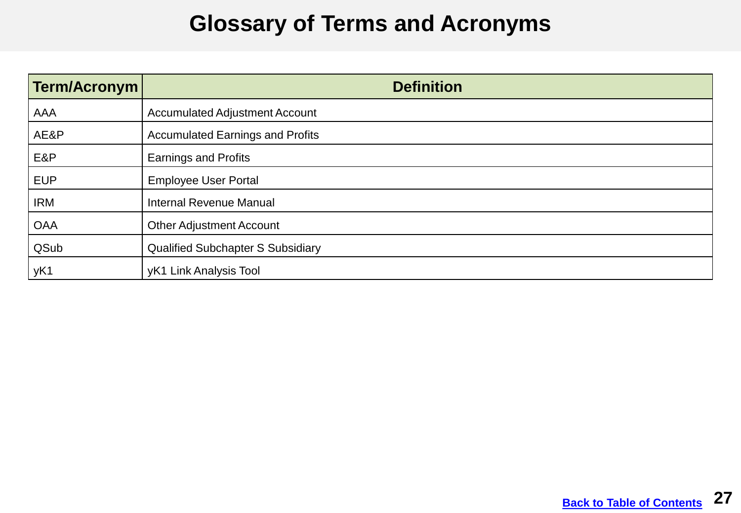#### **Glossary of Terms and Acronyms**

<span id="page-26-0"></span>

| Term/Acronym | <b>Definition</b>                        |
|--------------|------------------------------------------|
| AAA          | <b>Accumulated Adjustment Account</b>    |
| AE&P         | <b>Accumulated Earnings and Profits</b>  |
| E&P          | <b>Earnings and Profits</b>              |
| <b>EUP</b>   | <b>Employee User Portal</b>              |
| <b>IRM</b>   | <b>Internal Revenue Manual</b>           |
| <b>OAA</b>   | <b>Other Adjustment Account</b>          |
| QSub         | <b>Qualified Subchapter S Subsidiary</b> |
| yK1          | yK1 Link Analysis Tool                   |